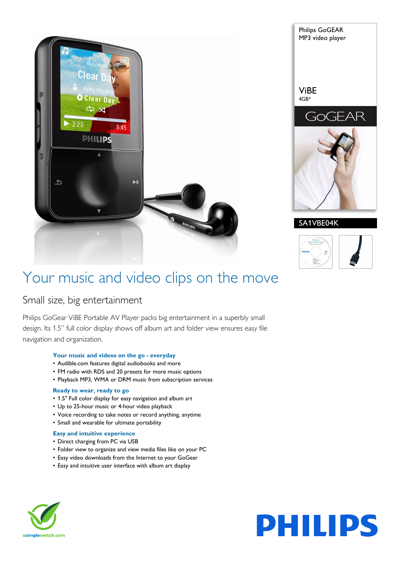





## Your music and video clips on the move

### Small size, big entertainment

Philips GoGear ViBE Portable AV Player packs big entertainment in a superbly small design. Its 1.5" full color display shows off album art and folder view ensures easy file navigation and organization.

#### **Your music and videos on the go - everyday**

- Audible.com features digital audiobooks and more
- FM radio with RDS and 20 presets for more music options
- Playback MP3, WMA or DRM music from subscription services

#### **Ready to wear, ready to go**

- 1.5" Full color display for easy navigation and album art
- Up to 25-hour music or 4-hour video playback
- Voice recording to take notes or record anything, anytime
- Small and wearable for ultimate portability

#### **Easy and intuitive experience**

- Direct charging from PC via USB
- Folder view to organize and view media files like on your PC
- Easy video downloads from the Internet to your GoGear
- Easy and intuitive user interface with album art display